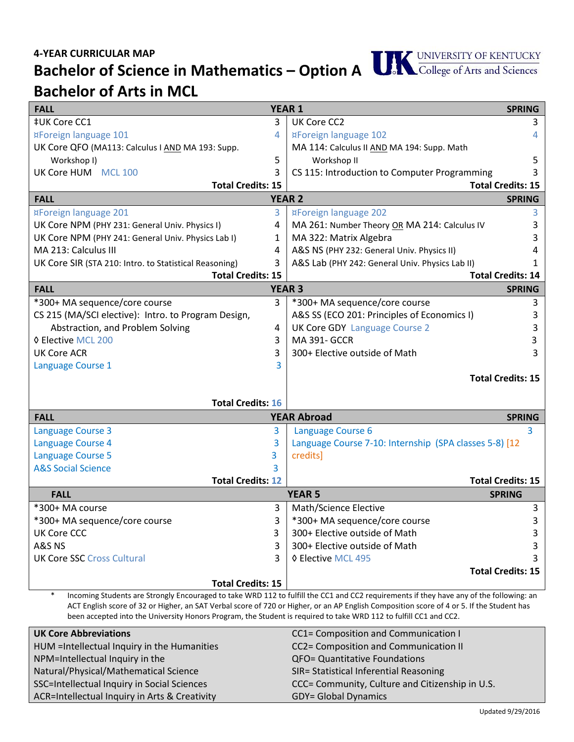## **4-YEAR CURRICULAR MAP**

**Bachelor of Science in Mathematics – Option A Bachelor of Arts in MCL**

| <b>FALL</b><br><b>YEAR 1</b>                                                                                                                      |                    |                                                                    | <b>SPRING</b> |  |
|---------------------------------------------------------------------------------------------------------------------------------------------------|--------------------|--------------------------------------------------------------------|---------------|--|
| ‡UK Core CC1                                                                                                                                      | 3                  | UK Core CC2                                                        | 3             |  |
| ¤Foreign language 101                                                                                                                             | 4                  | ¤Foreign language 102                                              | 4             |  |
| UK Core QFO (MA113: Calculus I AND MA 193: Supp.                                                                                                  |                    | MA 114: Calculus II AND MA 194: Supp. Math                         |               |  |
| Workshop I)                                                                                                                                       | 5                  | Workshop II                                                        | 5             |  |
| UK Core HUM MCL 100                                                                                                                               | 3                  | CS 115: Introduction to Computer Programming                       |               |  |
| <b>Total Credits: 15</b>                                                                                                                          |                    | <b>Total Credits: 15</b>                                           |               |  |
| <b>FALL</b>                                                                                                                                       |                    | <b>YEAR 2</b><br><b>SPRING</b>                                     |               |  |
| ¤Foreign language 201                                                                                                                             | 3                  | ¤Foreign language 202                                              | 3             |  |
| UK Core NPM (PHY 231: General Univ. Physics I)                                                                                                    | 4                  | MA 261: Number Theory OR MA 214: Calculus IV                       | 3             |  |
| UK Core NPM (PHY 241: General Univ. Physics Lab I)                                                                                                | 1                  | MA 322: Matrix Algebra                                             |               |  |
| MA 213: Calculus III                                                                                                                              | 4                  | A&S NS (PHY 232: General Univ. Physics II)                         |               |  |
| UK Core SIR (STA 210: Intro. to Statistical Reasoning)                                                                                            | 3                  | A&S Lab (PHY 242: General Univ. Physics Lab II)                    |               |  |
| <b>Total Credits: 15</b>                                                                                                                          |                    | <b>Total Credits: 14</b>                                           |               |  |
| <b>FALL</b>                                                                                                                                       |                    | <b>YEAR 3</b>                                                      | <b>SPRING</b> |  |
| *300+ MA sequence/core course                                                                                                                     | $\overline{3}$     | *300+ MA sequence/core course                                      | 3             |  |
| CS 215 (MA/SCI elective): Intro. to Program Design,                                                                                               |                    | A&S SS (ECO 201: Principles of Economics I)                        | 3             |  |
| Abstraction, and Problem Solving                                                                                                                  | 4                  | <b>UK Core GDY Language Course 2</b>                               | 3             |  |
| <b>♦ Elective MCL 200</b>                                                                                                                         | 3                  | <b>MA 391- GCCR</b>                                                | 3             |  |
| <b>UK Core ACR</b>                                                                                                                                | 3                  | 300+ Elective outside of Math                                      | 3             |  |
| Language Course 1                                                                                                                                 | 3                  |                                                                    |               |  |
|                                                                                                                                                   |                    | <b>Total Credits: 15</b>                                           |               |  |
| <b>Total Credits: 16</b>                                                                                                                          |                    |                                                                    |               |  |
| <b>FALL</b>                                                                                                                                       | <b>YEAR Abroad</b> | <b>SPRING</b>                                                      |               |  |
|                                                                                                                                                   | 3                  |                                                                    | 3             |  |
| <b>Language Course 3</b>                                                                                                                          | 3                  | Language Course 6                                                  |               |  |
| Language Course 4<br><b>Language Course 5</b>                                                                                                     | 3.                 | Language Course 7-10: Internship (SPA classes 5-8) [12<br>credits] |               |  |
| <b>A&amp;S Social Science</b>                                                                                                                     | 3                  |                                                                    |               |  |
| <b>Total Credits: 12</b>                                                                                                                          |                    | <b>Total Credits: 15</b>                                           |               |  |
| <b>FALL</b>                                                                                                                                       |                    | <b>YEAR 5</b><br><b>SPRING</b>                                     |               |  |
| *300+ MA course                                                                                                                                   | 3                  | Math/Science Elective                                              | 3             |  |
| *300+ MA sequence/core course                                                                                                                     | 3                  | *300+ MA sequence/core course                                      | 3             |  |
| <b>UK Core CCC</b>                                                                                                                                | 3                  | 300+ Elective outside of Math                                      | 3             |  |
| A&S NS                                                                                                                                            | 3                  | 300+ Elective outside of Math                                      | 3             |  |
| <b>UK Core SSC Cross Cultural</b>                                                                                                                 | 3                  | ♦ Elective MCL 495                                                 |               |  |
|                                                                                                                                                   |                    | <b>Total Credits: 15</b>                                           |               |  |
| <b>Total Credits: 15</b>                                                                                                                          |                    |                                                                    |               |  |
| $\ast$<br>Incoming Students are Strongly Encouraged to take WRD 112 to fulfill the CC1 and CC2 requirements if they have any of the following: an |                    |                                                                    |               |  |

\* Incoming Students are Strongly Encouraged to take WRD 112 to fulfill the CC1 and CC2 requirements if they have any of the following: an ACT English score of 32 or Higher, an SAT Verbal score of 720 or Higher, or an AP English Composition score of 4 or 5. If the Student has been accepted into the University Honors Program, the Student is required to take WRD 112 to fulfill CC1 and CC2.

| <b>UK Core Abbreviations</b>                  | CC1= Composition and Communication I            |
|-----------------------------------------------|-------------------------------------------------|
| HUM = Intellectual Inquiry in the Humanities  | CC2= Composition and Communication II           |
| NPM=Intellectual Inquiry in the               | QFO= Quantitative Foundations                   |
| Natural/Physical/Mathematical Science         | SIR= Statistical Inferential Reasoning          |
| SSC=Intellectual Inquiry in Social Sciences   | CCC= Community, Culture and Citizenship in U.S. |
| ACR=Intellectual Inquiry in Arts & Creativity | <b>GDY= Global Dynamics</b>                     |